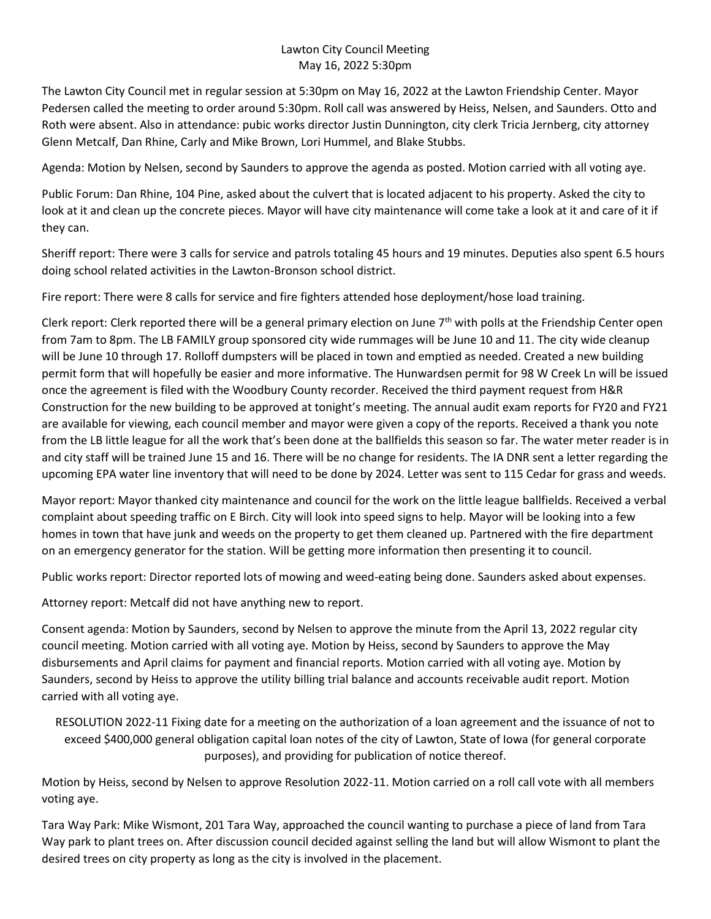## Lawton City Council Meeting May 16, 2022 5:30pm

The Lawton City Council met in regular session at 5:30pm on May 16, 2022 at the Lawton Friendship Center. Mayor Pedersen called the meeting to order around 5:30pm. Roll call was answered by Heiss, Nelsen, and Saunders. Otto and Roth were absent. Also in attendance: pubic works director Justin Dunnington, city clerk Tricia Jernberg, city attorney Glenn Metcalf, Dan Rhine, Carly and Mike Brown, Lori Hummel, and Blake Stubbs.

Agenda: Motion by Nelsen, second by Saunders to approve the agenda as posted. Motion carried with all voting aye.

Public Forum: Dan Rhine, 104 Pine, asked about the culvert that is located adjacent to his property. Asked the city to look at it and clean up the concrete pieces. Mayor will have city maintenance will come take a look at it and care of it if they can.

Sheriff report: There were 3 calls for service and patrols totaling 45 hours and 19 minutes. Deputies also spent 6.5 hours doing school related activities in the Lawton-Bronson school district.

Fire report: There were 8 calls for service and fire fighters attended hose deployment/hose load training.

Clerk report: Clerk reported there will be a general primary election on June  $7<sup>th</sup>$  with polls at the Friendship Center open from 7am to 8pm. The LB FAMILY group sponsored city wide rummages will be June 10 and 11. The city wide cleanup will be June 10 through 17. Rolloff dumpsters will be placed in town and emptied as needed. Created a new building permit form that will hopefully be easier and more informative. The Hunwardsen permit for 98 W Creek Ln will be issued once the agreement is filed with the Woodbury County recorder. Received the third payment request from H&R Construction for the new building to be approved at tonight's meeting. The annual audit exam reports for FY20 and FY21 are available for viewing, each council member and mayor were given a copy of the reports. Received a thank you note from the LB little league for all the work that's been done at the ballfields this season so far. The water meter reader is in and city staff will be trained June 15 and 16. There will be no change for residents. The IA DNR sent a letter regarding the upcoming EPA water line inventory that will need to be done by 2024. Letter was sent to 115 Cedar for grass and weeds.

Mayor report: Mayor thanked city maintenance and council for the work on the little league ballfields. Received a verbal complaint about speeding traffic on E Birch. City will look into speed signs to help. Mayor will be looking into a few homes in town that have junk and weeds on the property to get them cleaned up. Partnered with the fire department on an emergency generator for the station. Will be getting more information then presenting it to council.

Public works report: Director reported lots of mowing and weed-eating being done. Saunders asked about expenses.

Attorney report: Metcalf did not have anything new to report.

Consent agenda: Motion by Saunders, second by Nelsen to approve the minute from the April 13, 2022 regular city council meeting. Motion carried with all voting aye. Motion by Heiss, second by Saunders to approve the May disbursements and April claims for payment and financial reports. Motion carried with all voting aye. Motion by Saunders, second by Heiss to approve the utility billing trial balance and accounts receivable audit report. Motion carried with all voting aye.

RESOLUTION 2022-11 Fixing date for a meeting on the authorization of a loan agreement and the issuance of not to exceed \$400,000 general obligation capital loan notes of the city of Lawton, State of Iowa (for general corporate purposes), and providing for publication of notice thereof.

Motion by Heiss, second by Nelsen to approve Resolution 2022-11. Motion carried on a roll call vote with all members voting aye.

Tara Way Park: Mike Wismont, 201 Tara Way, approached the council wanting to purchase a piece of land from Tara Way park to plant trees on. After discussion council decided against selling the land but will allow Wismont to plant the desired trees on city property as long as the city is involved in the placement.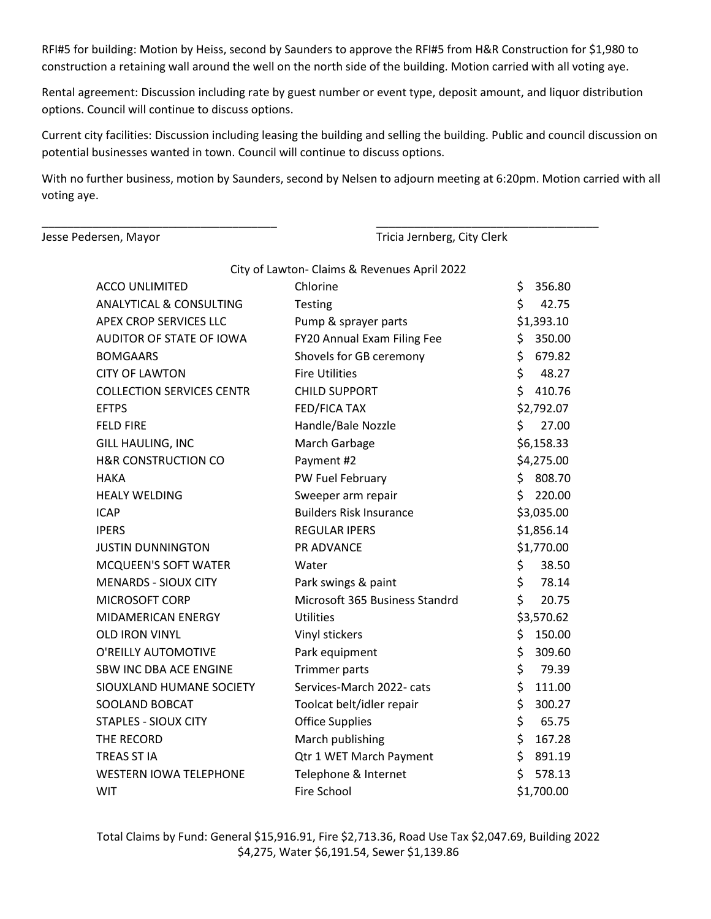RFI#5 for building: Motion by Heiss, second by Saunders to approve the RFI#5 from H&R Construction for \$1,980 to construction a retaining wall around the well on the north side of the building. Motion carried with all voting aye.

Rental agreement: Discussion including rate by guest number or event type, deposit amount, and liquor distribution options. Council will continue to discuss options.

Current city facilities: Discussion including leasing the building and selling the building. Public and council discussion on potential businesses wanted in town. Council will continue to discuss options.

With no further business, motion by Saunders, second by Nelsen to adjourn meeting at 6:20pm. Motion carried with all voting aye.

\_\_\_\_\_\_\_\_\_\_\_\_\_\_\_\_\_\_\_\_\_\_\_\_\_\_\_\_\_\_\_\_\_\_\_\_\_ \_\_\_\_\_\_\_\_\_\_\_\_\_\_\_\_\_\_\_\_\_\_\_\_\_\_\_\_\_\_\_\_\_\_\_

Jesse Pedersen, Mayor Tricia Jernberg, City Clerk

| City of Lawton- Claims & Revenues April 2022 |                                |    |            |
|----------------------------------------------|--------------------------------|----|------------|
| <b>ACCO UNLIMITED</b>                        | Chlorine                       | \$ | 356.80     |
| <b>ANALYTICAL &amp; CONSULTING</b>           | <b>Testing</b>                 | \$ | 42.75      |
| <b>APEX CROP SERVICES LLC</b>                | Pump & sprayer parts           |    | \$1,393.10 |
| AUDITOR OF STATE OF IOWA                     | FY20 Annual Exam Filing Fee    | \$ | 350.00     |
| <b>BOMGAARS</b>                              | Shovels for GB ceremony        | \$ | 679.82     |
| <b>CITY OF LAWTON</b>                        | <b>Fire Utilities</b>          | \$ | 48.27      |
| <b>COLLECTION SERVICES CENTR</b>             | <b>CHILD SUPPORT</b>           | \$ | 410.76     |
| <b>EFTPS</b>                                 | FED/FICA TAX                   |    | \$2,792.07 |
| <b>FELD FIRE</b>                             | Handle/Bale Nozzle             | Ś. | 27.00      |
| GILL HAULING, INC                            | March Garbage                  |    | \$6,158.33 |
| <b>H&amp;R CONSTRUCTION CO</b>               | Payment #2                     |    | \$4,275.00 |
| <b>HAKA</b>                                  | PW Fuel February               | \$ | 808.70     |
| <b>HEALY WELDING</b>                         | Sweeper arm repair             | \$ | 220.00     |
| <b>ICAP</b>                                  | <b>Builders Risk Insurance</b> |    | \$3,035.00 |
| <b>IPERS</b>                                 | <b>REGULAR IPERS</b>           |    | \$1,856.14 |
| <b>JUSTIN DUNNINGTON</b>                     | <b>PR ADVANCE</b>              |    | \$1,770.00 |
| <b>MCQUEEN'S SOFT WATER</b>                  | Water                          | \$ | 38.50      |
| <b>MENARDS - SIOUX CITY</b>                  | Park swings & paint            | \$ | 78.14      |
| MICROSOFT CORP                               | Microsoft 365 Business Standrd | \$ | 20.75      |
| MIDAMERICAN ENERGY                           | <b>Utilities</b>               |    | \$3,570.62 |
| <b>OLD IRON VINYL</b>                        | Vinyl stickers                 | \$ | 150.00     |
| O'REILLY AUTOMOTIVE                          | Park equipment                 | \$ | 309.60     |
| SBW INC DBA ACE ENGINE                       | <b>Trimmer parts</b>           | \$ | 79.39      |
| SIOUXLAND HUMANE SOCIETY                     | Services-March 2022- cats      | \$ | 111.00     |
| SOOLAND BOBCAT                               | Toolcat belt/idler repair      | \$ | 300.27     |
| <b>STAPLES - SIOUX CITY</b>                  | <b>Office Supplies</b>         | \$ | 65.75      |
| THE RECORD                                   | March publishing               | \$ | 167.28     |
| TREAS ST IA                                  | Qtr 1 WET March Payment        | \$ | 891.19     |
| <b>WESTERN IOWA TELEPHONE</b>                | Telephone & Internet           | \$ | 578.13     |
| <b>WIT</b>                                   | Fire School                    |    | \$1,700.00 |

Total Claims by Fund: General \$15,916.91, Fire \$2,713.36, Road Use Tax \$2,047.69, Building 2022 \$4,275, Water \$6,191.54, Sewer \$1,139.86